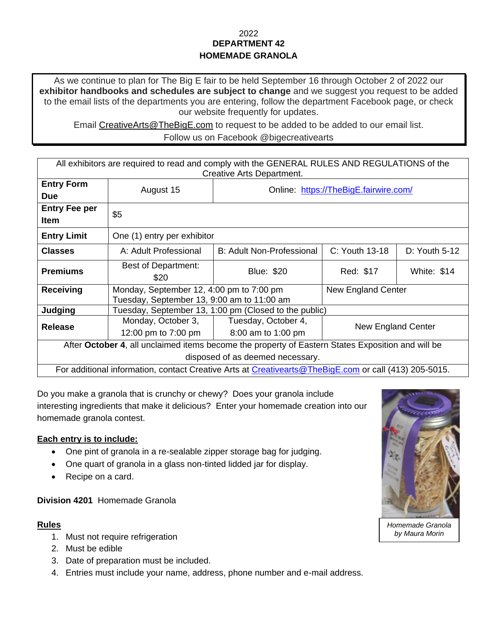## 2022 **DEPARTMENT 42 HOMEMADE GRANOLA**

As we continue to plan for The Big E fair to be held September 16 through October 2 of 2022 our **exhibitor handbooks and schedules are subject to change** and we suggest you request to be added to the email lists of the departments you are entering, follow the department Facebook page, or check our website frequently for updates.

Email [CreativeArts@TheBigE.com](mailto:CreativeArts@TheBigE.com) to request to be added to be added to our email list.

Follow us on Facebook @bigecreativearts

| All exhibitors are required to read and comply with the GENERAL RULES AND REGULATIONS of the<br>Creative Arts Department. |                                                                                        |                           |                           |                    |
|---------------------------------------------------------------------------------------------------------------------------|----------------------------------------------------------------------------------------|---------------------------|---------------------------|--------------------|
| <b>Entry Form</b><br><b>Due</b>                                                                                           | August 15<br>Online: https://TheBigE.fairwire.com/                                     |                           |                           |                    |
| <b>Entry Fee per</b><br><b>Item</b>                                                                                       | \$5                                                                                    |                           |                           |                    |
| <b>Entry Limit</b>                                                                                                        | One (1) entry per exhibitor                                                            |                           |                           |                    |
| <b>Classes</b>                                                                                                            | A: Adult Professional                                                                  | B: Adult Non-Professional | $C:$ Youth 13-18          | $D:$ Youth 5-12    |
| <b>Premiums</b>                                                                                                           | Best of Department:<br>\$20                                                            | <b>Blue: \$20</b>         | Red: \$17                 | <b>White: \$14</b> |
| <b>Receiving</b>                                                                                                          | Monday, September 12, 4:00 pm to 7:00 pm<br>Tuesday, September 13, 9:00 am to 11:00 am |                           | New England Center        |                    |
| Judging                                                                                                                   | Tuesday, September 13, 1:00 pm (Closed to the public)                                  |                           |                           |                    |
| <b>Release</b>                                                                                                            | Monday, October 3,                                                                     | Tuesday, October 4,       | <b>New England Center</b> |                    |
|                                                                                                                           | 12:00 pm to 7:00 pm                                                                    | 8:00 am to 1:00 pm        |                           |                    |
| After October 4, all unclaimed items become the property of Eastern States Exposition and will be                         |                                                                                        |                           |                           |                    |
| disposed of as deemed necessary.                                                                                          |                                                                                        |                           |                           |                    |
| For additional information, contact Creative Arts at Creativearts @ The Big E.com or call (413) 205-5015.                 |                                                                                        |                           |                           |                    |

Do you make a granola that is crunchy or chewy? Does your granola include interesting ingredients that make it delicious? Enter your homemade creation into our homemade granola contest.

# **Each entry is to include:**

- One pint of granola in a re-sealable zipper storage bag for judging.
- One quart of granola in a glass non-tinted lidded jar for display.
- Recipe on a card.

**Division 4201** Homemade Granola

#### **Rules**

- 1. Must not require refrigeration
- 2. Must be edible
- 3. Date of preparation must be included.
- 4. Entries must include your name, address, phone number and e-mail address.



*Homemade Granola by Maura Morin*